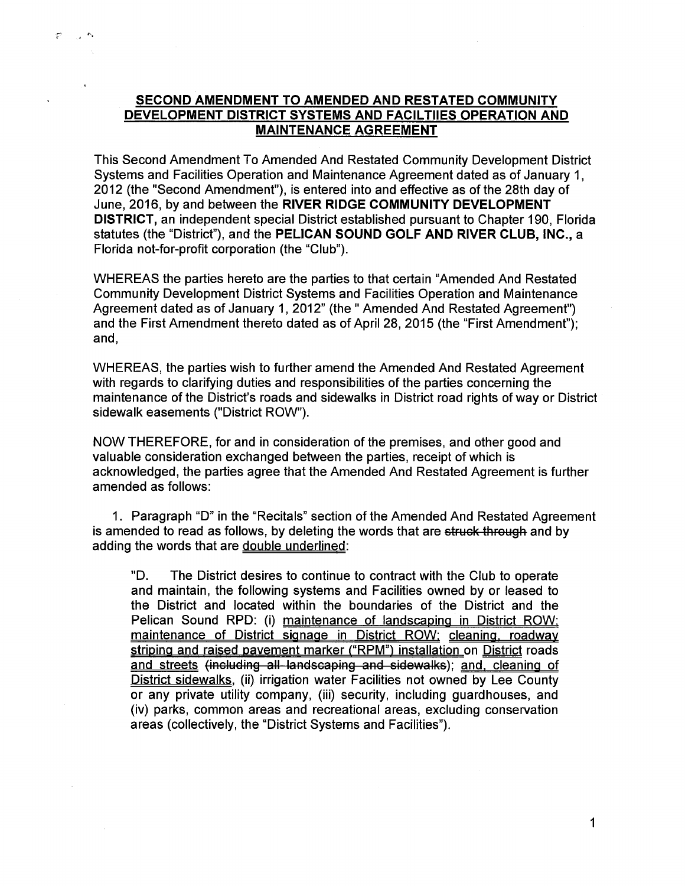$\mathcal{L}_{\text{tot}}$  .  $\mathcal{L}_{\text{tot}}$  $\varphi$ 

> This Second Amendment To Amended And Restated Community Development District Systems and Facilities Operation and Maintenance Agreement dated as of January 1, 2012 (the "Second Amendment"), is entered into and effective as of the 28th day of June, 2016, by and between the **RIVER RIDGE COMMUNITY DEVELOPMENT DISTRICT,** an independent special District established pursuant to Chapter 190, Florida statutes (the "District"), and the **PELICAN SOUND GOLF AND RIVER CLUB, INC.,** a Florida not-for-profit corporation (the "Club").

WHEREAS the parties hereto are the parties to that certain "Amended And Restated Community Development District Systems and Facilities Operation and Maintenance Agreement dated as of January 1, 2012" (the "Amended And Restated Agreement") and the First Amendment thereto dated as of April 28, 2015 (the "First Amendment"); and,

WHEREAS, the parties wish to further amend the Amended And Restated Agreement with regards to clarifying duties and responsibilities of the parties concerning the maintenance of the District's roads and sidewalks in District road rights of way or District sidewalk easements ("District ROW").

NOW THEREFORE, for and in consideration of the premises, and other good and valuable consideration exchanged between the parties, receipt of which is acknowledged, the parties agree that the Amended And Restated Agreement is further amended as follows:

1. Paragraph "D" in the "Recitals" section of the Amended And Restated Agreement is amended to read as follows, by deleting the words that are struck through and by adding the words that are double underlined:

"D. The District desires to continue to contract with the Club to operate and maintain, the following systems and Facilities owned by or leased to the District and located within the boundaries of the District and the Pelican Sound RPD: (i) maintenance of landscaping in District ROW; maintenance of District signage in District ROW: cleaning, roadway striping and raised pavement marker ("RPM") installation on District roads and streets (inoluding all landsoaping and sidewalks); and. cleaning of District sidewalks, (ii) irrigation water Facilities not owned by Lee County or any private utility company, (iii) security, including guardhouses, and (iv) parks, common areas and recreational areas, excluding conservation areas (collectively, the "District Systems and Facilities").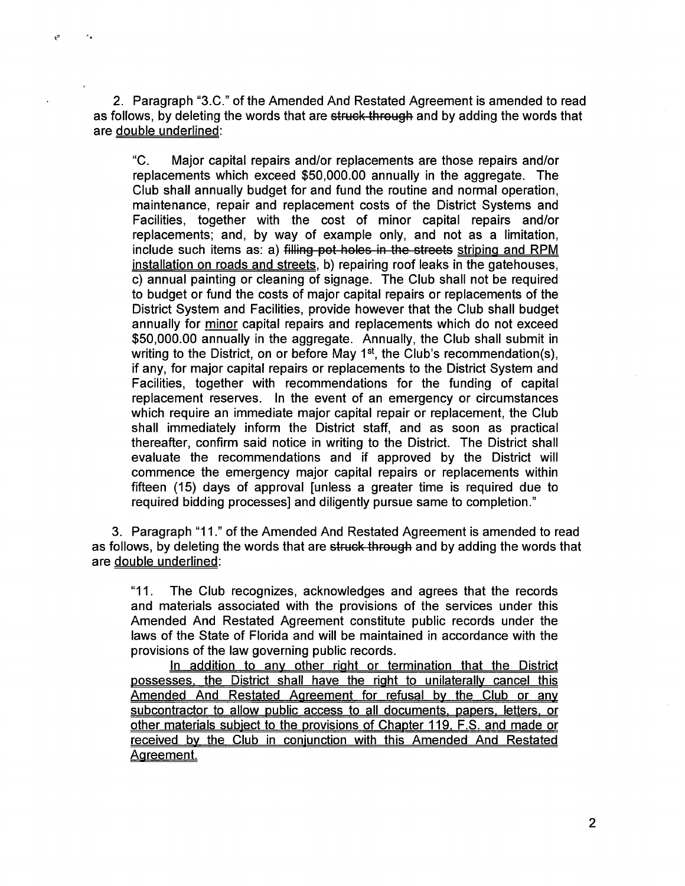2. Paragraph "3.C." of the Amended And Restated Agreement is amended to read as follows, by deleting the words that are struck through and by adding the words that are double underlined:

 $\mathcal{L}_\mathbf{a}$ 

 $\mathfrak{c}^{\mathfrak{s}}$ 

"C. Major capital repairs and/or replacements are those repairs and/or replacements which exceed \$[50,000.00](https://50,000.00) annually in the aggregate. The Club shall annually budget for and fund the routine and normal operation, maintenance, repair and replacement costs of the District Systems and Facilities, together with the cost of minor capital repairs and/or replacements; and, by way of example only, and not as a limitation, include such items as: a) filling pot holes in the streets striping and RPM installation on roads and streets, b) repairing roof leaks in the gatehouses, c) annual painting or cleaning of signage. The Club shall not be required to budget or fund the costs of major capital repairs or replacements of the District System and Facilities, provide however that the Club shall budget annually for minor capital repairs and replacements which do not exceed [\\$50,000.00](https://50,000.00) annually in the aggregate. Annually, the Club shall submit in writing to the District, on or before May  $1<sup>st</sup>$ , the Club's recommendation(s), if any, for major capital repairs or replacements to the District System and Facilities, together with recommendations for the funding of capital replacement reserves. In the event of an emergency or circumstances which require an immediate major capital repair or replacement, the Club shall immediately inform the District staff, and as soon as practical thereafter, confirm said notice in writing to the District. The District shall evaluate the recommendations and if approved by the District will commence the emergency major capital repairs or replacements within fifteen (15) days of approval [unless a greater time is required due to required bidding processes] and diligently pursue same to completion."

3. Paragraph "11." of the Amended And Restated Agreement is amended to read as follows, by deleting the words that are struck through and by adding the words that are double underlined:

"11. The Club recognizes, acknowledges and agrees that the records and materials associated with the provisions of the services under this Amended And Restated Agreement constitute public records under the laws of the State of Florida and will be maintained in accordance with the provisions of the law governing public records.

In addition to any other right or termination that the District possesses, the District shall have the right to unilaterally cancel this Amended And Restated Agreement for refusal by the Club or any subcontractor to allow public access to all documents, papers, letters, or other materials subject to the provisions of Chapter 119, F.S. and made or received by the Club in conjunction with this Amended And Restated Agreement.

2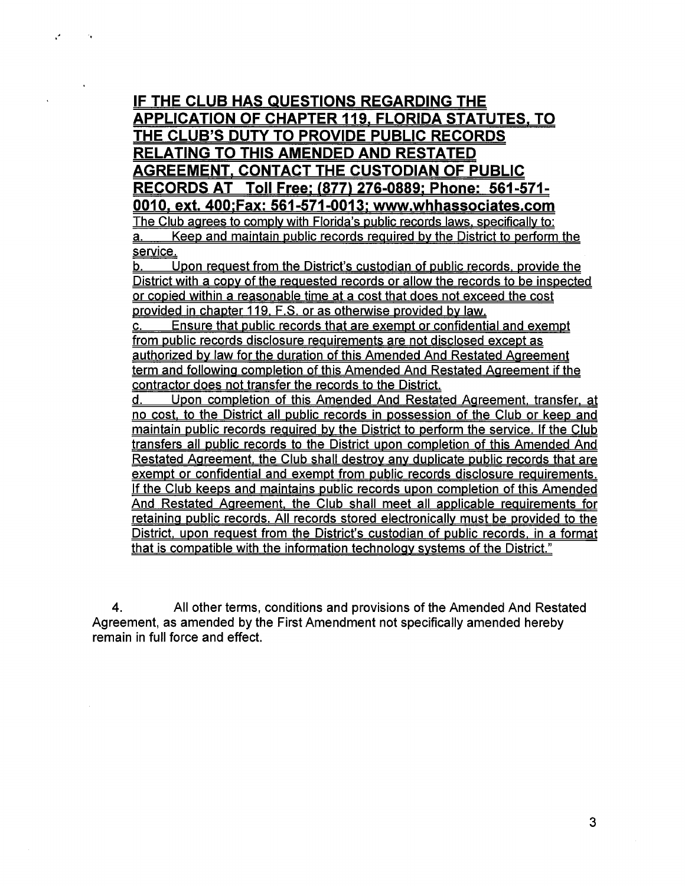**IF THE CLUB HAS QUESTIONS REGARDING THE APPLICATION OF CHAPTER 119. FLORIDA STATUTES. TO THE CLUB'S DUTY TO PROVIDE PUBLIC RECORDS RELATING TO THIS AMENDED AND RESTATED AGREEMENT. CONTACT THE CUSTODIAN OF PUBLIC RECORDS AT Toll Free; {877} 276-0889; Phone: 561-571- 0010. ext. 400;Fax: 561-571-0013; <www.whhassociates.com>** 

У.

The Club agrees to comply with Florida's public records laws, specifically to: a. Keep and maintain public records required by the District to perform the service.

b. Upon request from the District's custodian of public records, provide the District with a copy of the requested records or allow the records to be inspected or copied within a reasonable time at a cost that does not exceed the cost provided in chapter 119, F.S. or as otherwise provided by law.

Ensure that public records that are exempt or confidential and exempt from public records disclosure requirements are not disclosed except as authorized by law for the duration of this Amended And Restated Agreement term and following completion of this Amended And Restated Agreement if the contractor does not transfer the records to the District.

d. Upon completion of this Amended And Restated Agreement, transfer, at no cost. to the District all public records in possession of the Club or keep and maintain public records required by the District to perform the service. If the Club transfers all public records to the District upon completion of this Amended And Restated Agreement. the Club shall destroy any duplicate public records that are exempt or confidential and exempt from public records disclosure requirements. If the Club keeps and maintains public records upon completion of this Amended And Restated Agreement. the Club shall meet all applicable requirements for retaining public records. All records stored electronically must be provided to the District, upon request from the District's custodian of public records, in a format that is compatible with the information technology systems of the District."

4. All other terms, conditions and provisions of the Amended And Restated Agreement, as amended by the First Amendment not specifically amended hereby remain in full force and effect.